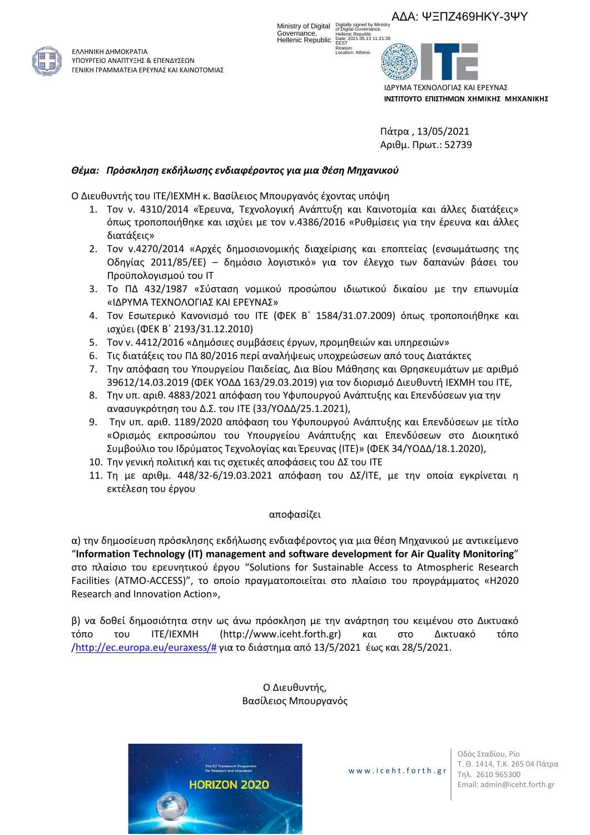ΑΔΑ: ΨΞΠΖ469ΗΚΥ-3ΨΥ



ΕΛΛΗΝΙΚΗ ΔΗΜΟΚΡΑΤΙΑ ΥΠΟΥΡΓΕΙΟ ΑΝΑΠΤΥΞΗΣ & ΕΠΕΝΔΥΣΕΩΝ ΓΕΝΙΚΗ ΓΡΑΜΜΑΤΕΙΑ ΕΡΕΥΝΑΣ ΚΑΙ ΚΑΙΝΟΤΟΜΙΑΣ

Ministry of Digital Digitally signed by Ministry<br>of Digital Governance, Governance, Hellenic Republic Hellenic Republic Date: 2021.05.13 11:21:28 EEST

Reason: Location: Athens



Πάτρα , 13/05/2021 Αριθμ. Πρωτ.: 52739

# *Θέμα: Πρόσκληση εκδήλωσης ενδιαφέροντος για μια θέση Μηχανικού*

Ο Διευθυντής του ΙΤΕ/ΙΕΧΜΗ κ. Βασίλειος Μπουργανός έχοντας υπόψη

- 1. Τον ν. 4310/2014 «Έρευνα, Τεχνολογική Ανάπτυξη και Καινοτομία και άλλες διατάξεις» όπως τροποποιήθηκε και ισχύει με τον ν.4386/2016 «Ρυθμίσεις για την έρευνα και άλλες διατάξεις»
- 2. Τον ν.4270/2014 «Αρχές δημοσιονομικής διαχείρισης και εποπτείας (ενσωμάτωσης της Οδηγίας 2011/85/ΕΕ) – δημόσιο λογιστικό» για τον έλεγχο των δαπανών βάσει του Προϋπολογισμού του ΙΤ
- 3. Το ΠΔ 432/1987 «Σύσταση νομικού προσώπου ιδιωτικού δικαίου με την επωνυμία «ΙΔΡΥΜΑ ΤΕΧΝΟΛΟΓΙΑΣ ΚΑΙ ΕΡΕΥΝΑΣ»
- 4. Τον Εσωτερικό Κανονισμό του ΙΤΕ (ΦΕΚ Β΄ 1584/31.07.2009) όπως τροποποιήθηκε και ισχύει (ΦΕΚ Β΄ 2193/31.12.2010)
- 5. Τον ν. 4412/2016 «Δημόσιες συμβάσεις έργων, προμηθειών και υπηρεσιών»
- 6. Τις διατάξεις του ΠΔ 80/2016 περί αναλήψεως υποχρεώσεων από τους Διατάκτες
- 7. Την απόφαση του Υπουργείου Παιδείας, Δια Βίου Μάθησης και Θρησκευμάτων με αριθμό 39612/14.03.2019 (ΦΕΚ ΥΟΔΔ 163/29.03.2019) για τον διορισμό Διευθυντή IEXMH του ΙΤΕ,
- 8. Την υπ. αριθ. 4883/2021 απόφαση του Υφυπουργού Ανάπτυξης και Επενδύσεων για την ανασυγκρότηση του Δ.Σ. του ΙΤΕ (33/ΥΟΔΔ/25.1.2021),
- 9. Την υπ. αριθ. 1189/2020 απόφαση του Υφυπουργού Ανάπτυξης και Επενδύσεων με τίτλο «Ορισμός εκπροσώπου του Υπουργείου Ανάπτυξης και Επενδύσεων στο Διοικητικό Συμβούλιο του Ιδρύματος Τεχνολογίας και Έρευνας (ITE)» (ΦΕΚ 34/ΥΟΔΔ/18.1.2020),
- 10. Την γενική πολιτική και τις σχετικές αποφάσεις του ΔΣ του ΙΤΕ
- 11. Τη με αριθμ. 448/32-6/19.03.2021 απόφαση του ΔΣ/ΙΤΕ, με την οποία εγκρίνεται η εκτέλεση του έργου

### αποφασίζει

α) την δημοσίευση πρόσκλησης εκδήλωσης ενδιαφέροντος για μια θέση Μηχανικού με αντικείμενο "**Information Technology (IT) management and software development for Air Quality Monitoring**" στο πλαίσιο του ερευνητικού έργου "Solutions for Sustainable Access to Atmospheric Research Facilities (ATMO-ACCESS)", το οποίο πραγματοποιείται στο πλαίσιο του προγράμματος «H2020 Research and Innovation Action»,

β) να δοθεί δημοσιότητα στην ως άνω πρόσκληση με την ανάρτηση του κειμένου στο Δικτυακό τόπο του ΙΤΕ/ΙΕΧΜΗ (http://www.iceht.forth.gr) και στο Δικτυακό τόπο [/http://ec.europa.eu/euraxess/#](http://ec.europa.eu/euraxess/) για το διάστημα από 13/5/2021 έως και 28/5/2021.

> Ο Διευθυντής, Βασίλειος Μπουργανός



www.i ceht .forth.gr

Οδός Σταδίου, Ρίο Τ. Θ. 1414, Τ.Κ. 265 04 Πάτρα Τηλ. 2610 965300 Email: admin@iceht.forth.gr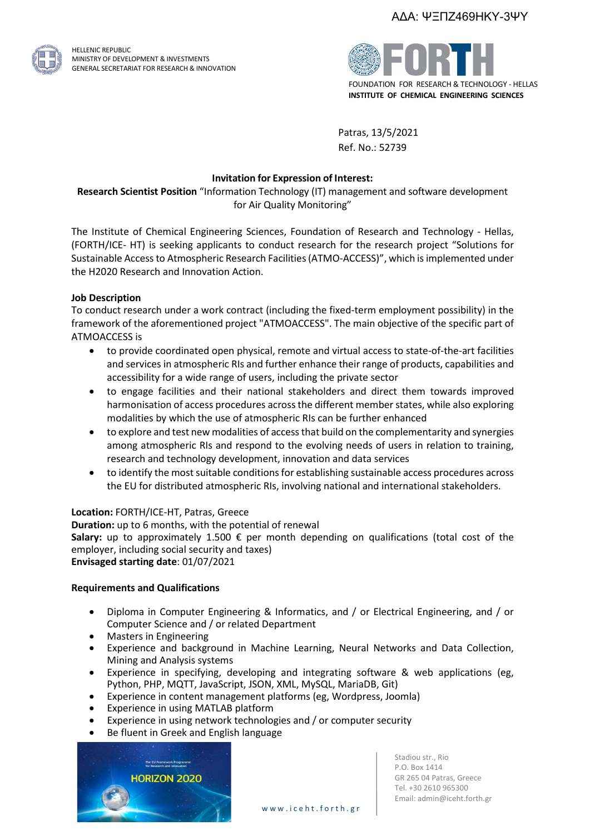

HELLENIC REPUBLIC MINISTRY OF DEVELOPMENT & INVESTMENTS GENERAL SECRETARIAT FOR RESEARCH & INNOVATION



Patras, 13/5/2021 Ref. No.: 52739

## **Invitation for Expression of Interest:**

**Research Scientist Position** "Information Technology (IT) management and software development for Air Quality Monitoring"

The Institute of Chemical Engineering Sciences, Foundation of Research and Technology - Hellas, (FORTH/ICE- HT) is seeking applicants to conduct research for the research project "Solutions for Sustainable Accessto Atmospheric Research Facilities(ATMO-ACCESS)", which is implemented under the H2020 Research and Innovation Action.

## **Job Description**

To conduct research under a work contract (including the fixed-term employment possibility) in the framework of the aforementioned project "ATMOACCESS". The main objective of the specific part of ATMOACCESS is

- to provide coordinated open physical, remote and virtual access to state-of-the-art facilities and services in atmospheric RIs and further enhance their range of products, capabilities and accessibility for a wide range of users, including the private sector
- to engage facilities and their national stakeholders and direct them towards improved harmonisation of access procedures across the different member states, while also exploring modalities by which the use of atmospheric RIs can be further enhanced
- to explore and test new modalities of access that build on the complementarity and synergies among atmospheric RIs and respond to the evolving needs of users in relation to training, research and technology development, innovation and data services
- to identify the most suitable conditions for establishing sustainable access procedures across the EU for distributed atmospheric RIs, involving national and international stakeholders.

### **Location:** FORTH/ICE-HT, Patras, Greece

**Duration:** up to 6 months, with the potential of renewal **Salary:** up to approximately 1.500 € per month depending on qualifications (total cost of the employer, including social security and taxes) **Envisaged starting date**: 01/07/2021

### **Requirements and Qualifications**

- Diploma in Computer Engineering & Informatics, and / or Electrical Engineering, and / or Computer Science and / or related Department
- Masters in Engineering
- Experience and background in Machine Learning, Neural Networks and Data Collection, Mining and Analysis systems
- Experience in specifying, developing and integrating software & web applications (eg, Python, PHP, MQTT, JavaScript, JSON, XML, MySQL, MariaDB, Git)
- Experience in content management platforms (eg, Wordpress, Joomla)
- Experience in using MATLAB platform
- Experience in using network technologies and / or computer security
- Βe fluent in Greek and English language



Stadiou str., Rio P.O. Box 1414 GR 265 04 Patras, Greece Tel. +30 2610 965300 Email: admin@iceht.forth.gr

www.i ceht .forth.gr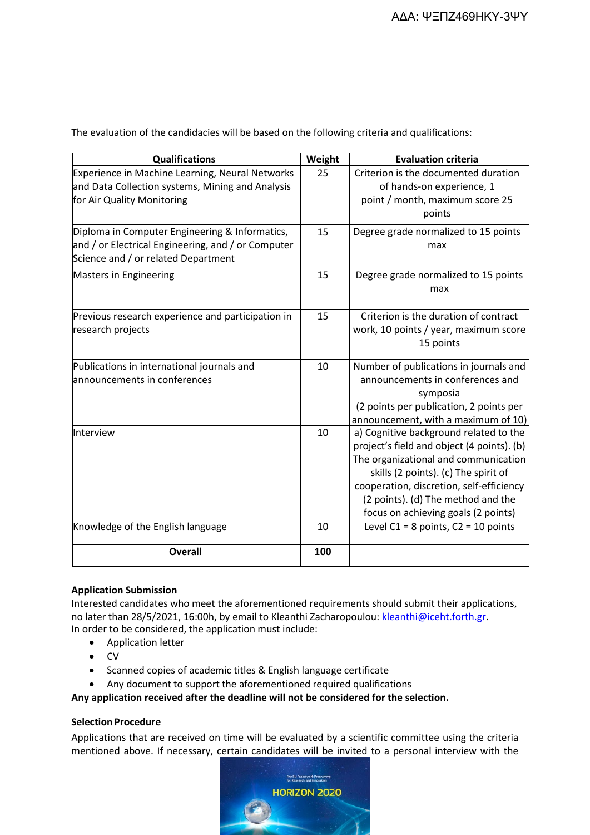| <b>Qualifications</b>                                                                                                                       | Weight | <b>Evaluation criteria</b>                                                                                                                                                                                                                                                                    |
|---------------------------------------------------------------------------------------------------------------------------------------------|--------|-----------------------------------------------------------------------------------------------------------------------------------------------------------------------------------------------------------------------------------------------------------------------------------------------|
| Experience in Machine Learning, Neural Networks<br>and Data Collection systems, Mining and Analysis<br>for Air Quality Monitoring           | 25     | Criterion is the documented duration<br>of hands-on experience, 1<br>point / month, maximum score 25<br>points                                                                                                                                                                                |
| Diploma in Computer Engineering & Informatics,<br>and / or Electrical Engineering, and / or Computer<br>Science and / or related Department | 15     | Degree grade normalized to 15 points<br>max                                                                                                                                                                                                                                                   |
| Masters in Engineering                                                                                                                      | 15     | Degree grade normalized to 15 points<br>max                                                                                                                                                                                                                                                   |
| Previous research experience and participation in<br>research projects                                                                      | 15     | Criterion is the duration of contract<br>work, 10 points / year, maximum score<br>15 points                                                                                                                                                                                                   |
| Publications in international journals and<br>announcements in conferences                                                                  | 10     | Number of publications in journals and<br>announcements in conferences and<br>symposia<br>(2 points per publication, 2 points per<br>announcement, with a maximum of 10)                                                                                                                      |
| Interview                                                                                                                                   | 10     | a) Cognitive background related to the<br>project's field and object (4 points). (b)<br>The organizational and communication<br>skills (2 points). (c) The spirit of<br>cooperation, discretion, self-efficiency<br>(2 points). (d) The method and the<br>focus on achieving goals (2 points) |
| Knowledge of the English language                                                                                                           | 10     | Level $C1 = 8$ points, $C2 = 10$ points                                                                                                                                                                                                                                                       |
| <b>Overall</b>                                                                                                                              | 100    |                                                                                                                                                                                                                                                                                               |

The evaluation of the candidacies will be based on the following criteria and qualifications:

# **Application Submission**

Interested candidates who meet the aforementioned requirements should submit their applications, no later than 28/5/2021, 16:00h, by email to Kleanthi Zacharopoulou[: kleanthi@iceht.forth.gr.](mailto:kleanthi@iceht.forth.gr) In order to be considered, the application must include:

- Application letter
- CV
- Scanned copies of academic titles & English language certificate
- Any document to support the aforementioned required qualifications

**Any application received after the deadline will not be considered for the selection.**

### **Selection Procedure**

Applications that are received on time will be evaluated by a scientific committee using the criteria mentioned above. If necessary, certain candidates will be invited to a personal interview with the